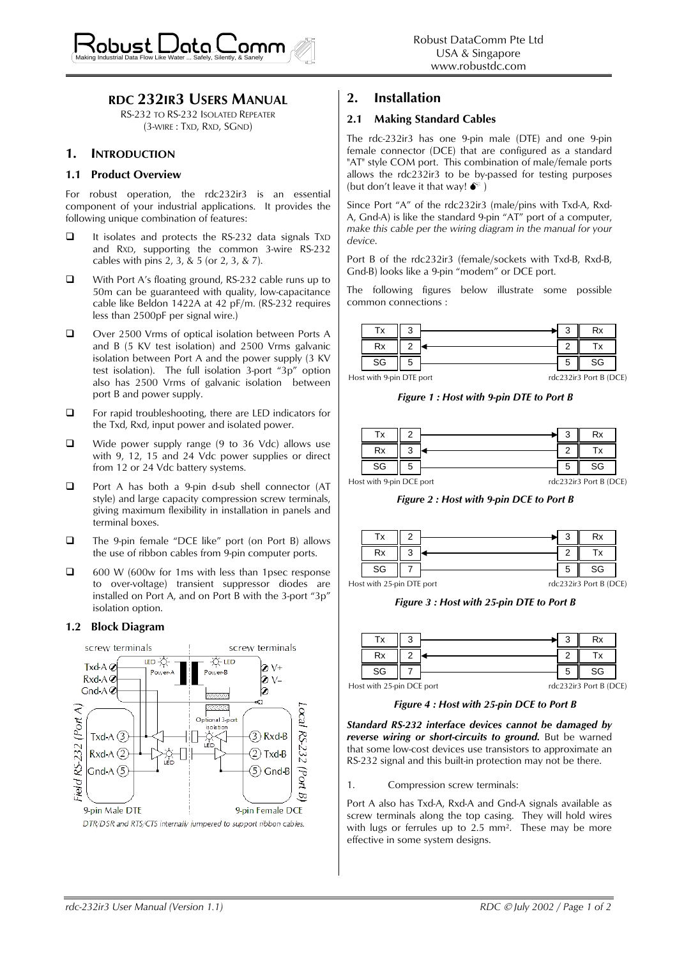

## **RDC 232IR3 USERS MANUAL**

RS-232 TO RS-232 ISOLATED REPEATER (3-WIRE : TXD, RXD, SGND)

## **1. INTRODUCTION**

#### **1.1 Product Overview**

For robust operation, the rdc232ir3 is an essential component of your industrial applications. It provides the following unique combination of features:

- □ It isolates and protects the RS-232 data signals TxD and RXD, supporting the common 3-wire RS-232 cables with pins 2, 3, & 5 (or 2, 3, & 7).
- With Port A's floating ground, RS-232 cable runs up to 50m can be guaranteed with quality, low-capacitance cable like Beldon 1422A at 42 pF/m. (RS-232 requires less than 2500pF per signal wire.)
- □ Over 2500 Vrms of optical isolation between Ports A and B (5 KV test isolation) and 2500 Vrms galvanic isolation between Port A and the power supply (3 KV test isolation). The full isolation 3-port "3p" option also has 2500 Vrms of galvanic isolation between port B and power supply.
- □ For rapid troubleshooting, there are LED indicators for the Txd, Rxd, input power and isolated power.
- $\Box$  Wide power supply range (9 to 36 Vdc) allows use with 9, 12, 15 and 24 Vdc power supplies or direct from 12 or 24 Vdc battery systems.
- □ Port A has both a 9-pin d-sub shell connector (AT style) and large capacity compression screw terminals, giving maximum flexibility in installation in panels and terminal boxes.
- The 9-pin female "DCE like" port (on Port B) allows the use of ribbon cables from 9-pin computer ports.
- $\Box$  600 W (600w for 1ms with less than 1 psec response to over-voltage) transient suppressor diodes are installed on Port A, and on Port B with the 3-port "3p" isolation option.

#### **1.2 Block Diagram**



# **2. Installation**

### **2.1 Making Standard Cables**

The rdc-232ir3 has one 9-pin male (DTE) and one 9-pin female connector (DCE) that are configured as a standard "AT" style COM port. This combination of male/female ports allows the rdc232ir3 to be by-passed for testing purposes (but don't leave it that way!  $\bullet^*$ )

Since Port "A" of the rdc232ir3 (male/pins with Txd-A, Rxd-A, Gnd-A) is like the standard 9-pin "AT" port of a computer, *make this cable per the wiring diagram in the manual for your device*.

Port B of the rdc232ir3 (female/sockets with Txd-B, Rxd-B, Gnd-B) looks like a 9-pin "modem" or DCE port.

The following figures below illustrate some possible common connections :

|                          | Гv. |  |                        |  |  |
|--------------------------|-----|--|------------------------|--|--|
|                          | Rx  |  |                        |  |  |
|                          | SG  |  |                        |  |  |
| Host with 9-pin DTF port |     |  | rdc232ir3 Port B (DCF) |  |  |

*Figure 1 : Host with 9-pin DTE to Port B*

|                          | Т٧ |  |  | ◠ |                      |
|--------------------------|----|--|--|---|----------------------|
|                          | Rx |  |  |   |                      |
|                          | SG |  |  |   | SG                   |
| Host with 9-pin DCF port |    |  |  |   | rdc232ir3 Port B (DC |

rdc232ir3 Port B (DCE)

*Figure 2 : Host with 9-pin DCE to Port B*

|    |   |                         | Rx                       |
|----|---|-------------------------|--------------------------|
|    | ◠ |                         |                          |
| SG |   |                         | SG                       |
| .  |   | the control of the con- | $1 - 2 - 3 + 3 - 5 - 15$ |

Host with 25-pin DTE port

rdc232ir3 Port B (DCE)

*F igure 3 : Host with 25-pin DTE to Port B*

|                           | SG |  |                        |  |  |
|---------------------------|----|--|------------------------|--|--|
| lost with 25-pin DCE port |    |  | rdc232ir3 Port B (DCE) |  |  |

Host with 25-pin DCE port

*Figure 4 : Host with 25-pin DCE to Port B*

*Standard RS-232 interface devices cannot be damaged by reverse wiring or short-circuits to ground.* But be warned that some low-cost devices use transistors to approximate an RS-232 signal and this built-in protection may not be there.

1. Compression screw terminals:

Port A also has Txd-A, Rxd-A and Gnd-A signals available as screw terminals along the top casing. They will hold wires with lugs or ferrules up to  $2.5 \text{ mm}^2$ . These may be more effective in some system designs.